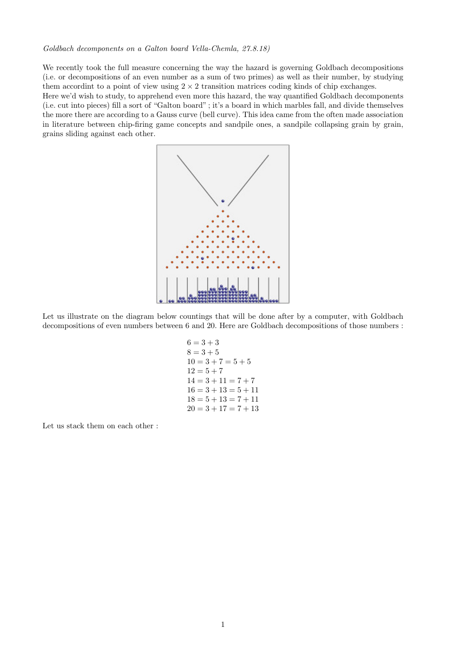## Goldbach decomponents on a Galton board Vella-Chemla, 27.8.18)

We recently took the full measure concerning the way the hazard is governing Goldbach decompositions (i.e. or decompositions of an even number as a sum of two primes) as well as their number, by studying them accordint to a point of view using  $2 \times 2$  transition matrices coding kinds of chip exchanges.

Here we'd wish to study, to apprehend even more this hazard, the way quantified Goldbach decomponents (i.e. cut into pieces) fill a sort of "Galton board" ; it's a board in which marbles fall, and divide themselves the more there are according to a Gauss curve (bell curve). This idea came from the often made association in literature between chip-firing game concepts and sandpile ones, a sandpile collapsing grain by grain, grains sliding against each other.



Let us illustrate on the diagram below countings that will be done after by a computer, with Goldbach decompositions of even numbers between 6 and 20. Here are Goldbach decompositions of those numbers :

$$
6 = 3 + 3
$$
  
\n
$$
8 = 3 + 5
$$
  
\n
$$
10 = 3 + 7 = 5 + 5
$$
  
\n
$$
12 = 5 + 7
$$
  
\n
$$
14 = 3 + 11 = 7 + 7
$$
  
\n
$$
16 = 3 + 13 = 5 + 11
$$
  
\n
$$
18 = 5 + 13 = 7 + 11
$$
  
\n
$$
20 = 3 + 17 = 7 + 13
$$

Let us stack them on each other :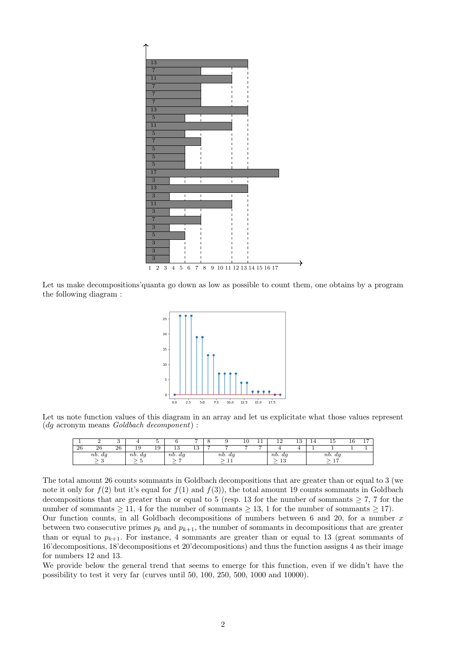

Let us make decompositions' quanta go down as low as possible to count them, one obtains by a program the following diagram :



Let us note function values of this diagram in an array and let us explicitate what those values represent (dg acronym means Goldbach decomponent) :

|    |        |    |            |    |            |          |   |                                       | 10 | . . | າດ<br>--         | 19<br>ŦΩ | 14 | 15                    | 10 | 1 <sub>7</sub><br>л., |
|----|--------|----|------------|----|------------|----------|---|---------------------------------------|----|-----|------------------|----------|----|-----------------------|----|-----------------------|
| 26 | 26     | 26 | 19         | 19 | 19<br>ŦΩ   | 10<br>ŦΩ | - |                                       | −  | -   |                  |          |    |                       |    |                       |
|    | nb. dg |    | $nb.$ $dg$ |    | $nb.$ $dg$ |          |   | $nb.$ $dg$                            |    |     | nb.<br>dg        |          |    | nb. dq                |    |                       |
|    |        |    |            |    | -          |          |   | <b>++</b><br>$\overline{\phantom{a}}$ |    |     | 1.9<br>10<br>$-$ |          |    | 1 <sub>7</sub><br>$-$ |    |                       |

The total amount 26 counts sommants in Goldbach decompositions that are greater than or equal to 3 (we note it only for  $f(2)$  but it's equal for  $f(1)$  and  $f(3)$ ), the total amount 19 counts sommants in Goldbach decompositions that are greater than or equal to 5 (resp. 13 for the number of sommants  $\geq 7$ , 7 for the number of sommants  $\geq 11$ , 4 for the number of sommants  $\geq 13$ , 1 for the number of sommants  $\geq 17$ ). Our function counts, in all Goldbach decompositions of numbers between 6 and 20, for a number  $x$ between two consecutive primes  $p_k$  and  $p_{k+1}$ , the number of sommants in decompositions that are greater than or equal to  $p_{k+1}$ . For instance, 4 sommants are greater than or equal to 13 (great sommants of 16'decompositions, 18'decompositions et 20'decompositions) and thus the function assigns 4 as their image for numbers 12 and 13.

We provide below the general trend that seems to emerge for this function, even if we didn't have the possibility to test it very far (curves until 50, 100, 250, 500, 1000 and 10000).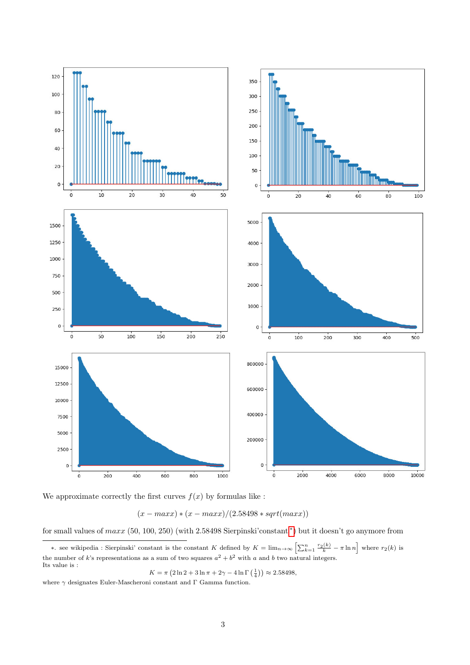

We approximate correctly the first curves  $f(x)$  by formulas like :

$$
(x - maxx) * (x - maxx)/(2.58498 * sqrt(maxx))
$$

for small values of  $max(50, 100, 250)$  (with 2.58498 Sierpinski'constant \*) but it doesn't go anymore from

$$
K = \pi (2 \ln 2 + 3 \ln \pi + 2\gamma - 4 \ln \Gamma (\frac{1}{4})) \approx 2.58498,
$$

 $\overline{F}$ where  $\gamma$  designates Euler-Mascheroni constant and  $\Gamma$  Gamma function.

<span id="page-2-0"></span><sup>\*.</sup> see wikipedia : Sierpinski' constant is the constant K defined by  $K = \lim_{n\to\infty} \left[\sum_{k=1}^n \frac{r_2(k)}{k} - \pi \ln n \right]$  where  $r_2(k)$  is the number of k's representations as a sum of two squares  $a^2 + b^2$  with a and b two natural integers. Its value is :